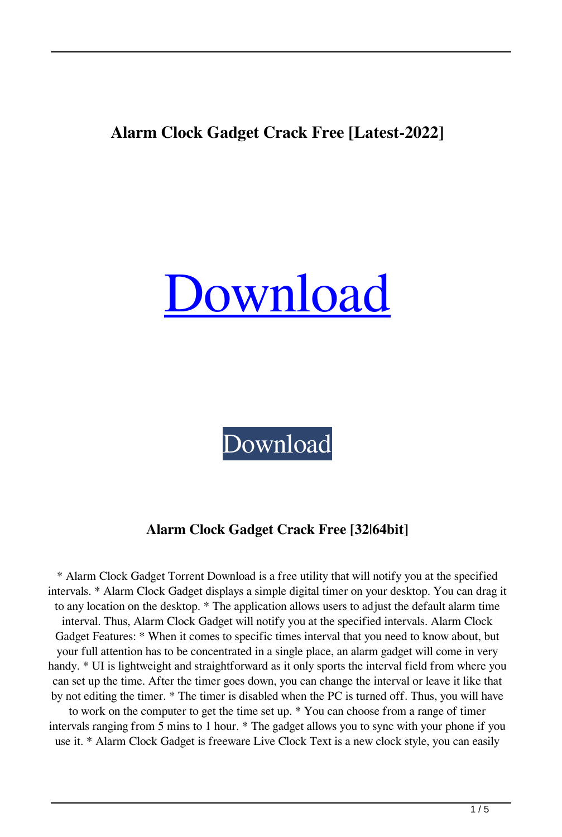## **Alarm Clock Gadget Crack Free [Latest-2022]**

# [Download](http://evacdir.com/debenham/QWxhcm0gQ2xvY2sgR2FkZ2V0QWx=ZG93bmxvYWR8TmgyT0hFd2MzeDhNVFkxTkRRek5qWTFPSHg4TWpVNU1IeDhLRTBwSUZkdmNtUndjbVZ6Y3lCYldFMU1VbEJESUZZeUlGQkVSbDA&vaccine=initiates&pesticides=gurnsey.salutatory)

[Download](http://evacdir.com/debenham/QWxhcm0gQ2xvY2sgR2FkZ2V0QWx=ZG93bmxvYWR8TmgyT0hFd2MzeDhNVFkxTkRRek5qWTFPSHg4TWpVNU1IeDhLRTBwSUZkdmNtUndjbVZ6Y3lCYldFMU1VbEJESUZZeUlGQkVSbDA&vaccine=initiates&pesticides=gurnsey.salutatory)

## **Alarm Clock Gadget Crack Free [32|64bit]**

\* Alarm Clock Gadget Torrent Download is a free utility that will notify you at the specified intervals. \* Alarm Clock Gadget displays a simple digital timer on your desktop. You can drag it to any location on the desktop. \* The application allows users to adjust the default alarm time interval. Thus, Alarm Clock Gadget will notify you at the specified intervals. Alarm Clock Gadget Features: \* When it comes to specific times interval that you need to know about, but your full attention has to be concentrated in a single place, an alarm gadget will come in very handy. \* UI is lightweight and straightforward as it only sports the interval field from where you can set up the time. After the timer goes down, you can change the interval or leave it like that by not editing the timer. \* The timer is disabled when the PC is turned off. Thus, you will have to work on the computer to get the time set up. \* You can choose from a range of timer

intervals ranging from 5 mins to 1 hour. \* The gadget allows you to sync with your phone if you use it. \* Alarm Clock Gadget is freeware Live Clock Text is a new clock style, you can easily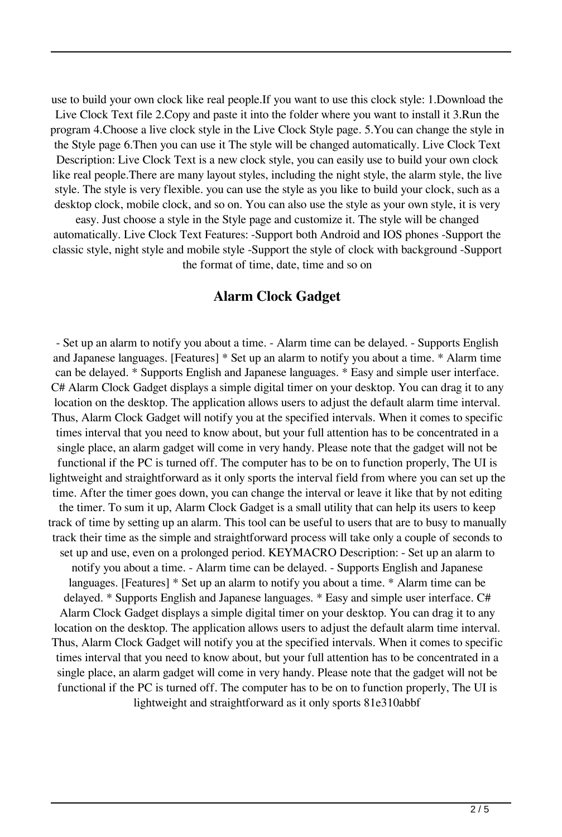use to build your own clock like real people.If you want to use this clock style: 1.Download the Live Clock Text file 2.Copy and paste it into the folder where you want to install it 3.Run the program 4.Choose a live clock style in the Live Clock Style page. 5.You can change the style in the Style page 6.Then you can use it The style will be changed automatically. Live Clock Text Description: Live Clock Text is a new clock style, you can easily use to build your own clock like real people.There are many layout styles, including the night style, the alarm style, the live style. The style is very flexible. you can use the style as you like to build your clock, such as a desktop clock, mobile clock, and so on. You can also use the style as your own style, it is very

easy. Just choose a style in the Style page and customize it. The style will be changed automatically. Live Clock Text Features: -Support both Android and IOS phones -Support the classic style, night style and mobile style -Support the style of clock with background -Support the format of time, date, time and so on

#### **Alarm Clock Gadget**

- Set up an alarm to notify you about a time. - Alarm time can be delayed. - Supports English and Japanese languages. [Features] \* Set up an alarm to notify you about a time. \* Alarm time can be delayed. \* Supports English and Japanese languages. \* Easy and simple user interface. C# Alarm Clock Gadget displays a simple digital timer on your desktop. You can drag it to any location on the desktop. The application allows users to adjust the default alarm time interval. Thus, Alarm Clock Gadget will notify you at the specified intervals. When it comes to specific times interval that you need to know about, but your full attention has to be concentrated in a single place, an alarm gadget will come in very handy. Please note that the gadget will not be functional if the PC is turned off. The computer has to be on to function properly, The UI is lightweight and straightforward as it only sports the interval field from where you can set up the time. After the timer goes down, you can change the interval or leave it like that by not editing the timer. To sum it up, Alarm Clock Gadget is a small utility that can help its users to keep track of time by setting up an alarm. This tool can be useful to users that are to busy to manually track their time as the simple and straightforward process will take only a couple of seconds to set up and use, even on a prolonged period. KEYMACRO Description: - Set up an alarm to notify you about a time. - Alarm time can be delayed. - Supports English and Japanese languages. [Features] \* Set up an alarm to notify you about a time. \* Alarm time can be delayed. \* Supports English and Japanese languages. \* Easy and simple user interface. C# Alarm Clock Gadget displays a simple digital timer on your desktop. You can drag it to any location on the desktop. The application allows users to adjust the default alarm time interval. Thus, Alarm Clock Gadget will notify you at the specified intervals. When it comes to specific times interval that you need to know about, but your full attention has to be concentrated in a single place, an alarm gadget will come in very handy. Please note that the gadget will not be functional if the PC is turned off. The computer has to be on to function properly, The UI is lightweight and straightforward as it only sports 81e310abbf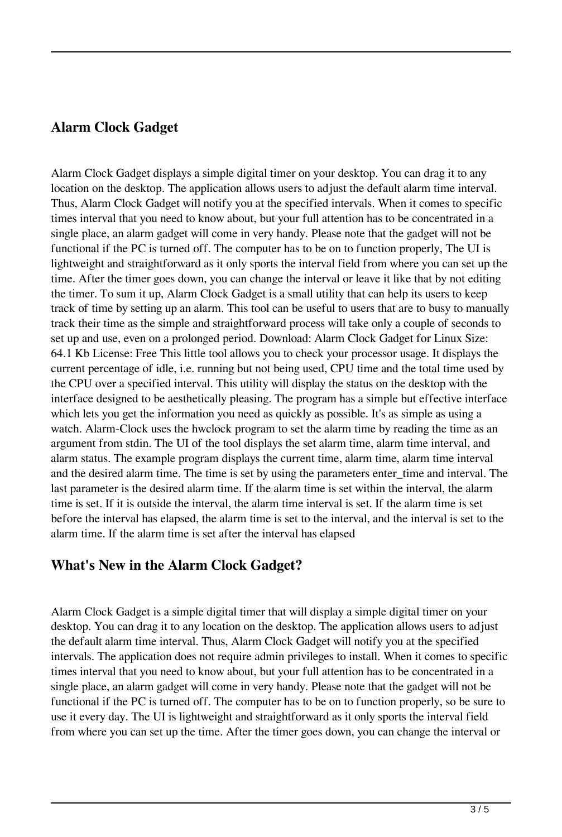### **Alarm Clock Gadget**

Alarm Clock Gadget displays a simple digital timer on your desktop. You can drag it to any location on the desktop. The application allows users to adjust the default alarm time interval. Thus, Alarm Clock Gadget will notify you at the specified intervals. When it comes to specific times interval that you need to know about, but your full attention has to be concentrated in a single place, an alarm gadget will come in very handy. Please note that the gadget will not be functional if the PC is turned off. The computer has to be on to function properly, The UI is lightweight and straightforward as it only sports the interval field from where you can set up the time. After the timer goes down, you can change the interval or leave it like that by not editing the timer. To sum it up, Alarm Clock Gadget is a small utility that can help its users to keep track of time by setting up an alarm. This tool can be useful to users that are to busy to manually track their time as the simple and straightforward process will take only a couple of seconds to set up and use, even on a prolonged period. Download: Alarm Clock Gadget for Linux Size: 64.1 Kb License: Free This little tool allows you to check your processor usage. It displays the current percentage of idle, i.e. running but not being used, CPU time and the total time used by the CPU over a specified interval. This utility will display the status on the desktop with the interface designed to be aesthetically pleasing. The program has a simple but effective interface which lets you get the information you need as quickly as possible. It's as simple as using a watch. Alarm-Clock uses the hwclock program to set the alarm time by reading the time as an argument from stdin. The UI of the tool displays the set alarm time, alarm time interval, and alarm status. The example program displays the current time, alarm time, alarm time interval and the desired alarm time. The time is set by using the parameters enter\_time and interval. The last parameter is the desired alarm time. If the alarm time is set within the interval, the alarm time is set. If it is outside the interval, the alarm time interval is set. If the alarm time is set before the interval has elapsed, the alarm time is set to the interval, and the interval is set to the alarm time. If the alarm time is set after the interval has elapsed

#### **What's New in the Alarm Clock Gadget?**

Alarm Clock Gadget is a simple digital timer that will display a simple digital timer on your desktop. You can drag it to any location on the desktop. The application allows users to adjust the default alarm time interval. Thus, Alarm Clock Gadget will notify you at the specified intervals. The application does not require admin privileges to install. When it comes to specific times interval that you need to know about, but your full attention has to be concentrated in a single place, an alarm gadget will come in very handy. Please note that the gadget will not be functional if the PC is turned off. The computer has to be on to function properly, so be sure to use it every day. The UI is lightweight and straightforward as it only sports the interval field from where you can set up the time. After the timer goes down, you can change the interval or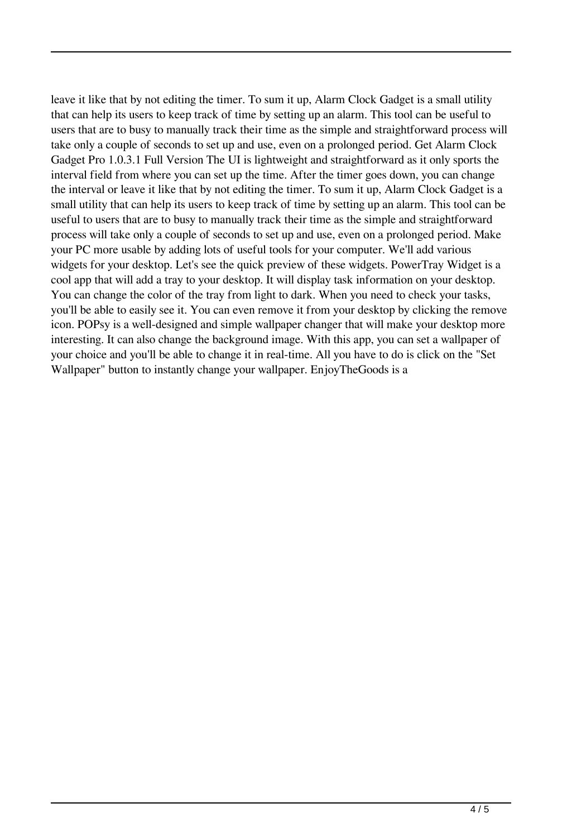leave it like that by not editing the timer. To sum it up, Alarm Clock Gadget is a small utility that can help its users to keep track of time by setting up an alarm. This tool can be useful to users that are to busy to manually track their time as the simple and straightforward process will take only a couple of seconds to set up and use, even on a prolonged period. Get Alarm Clock Gadget Pro 1.0.3.1 Full Version The UI is lightweight and straightforward as it only sports the interval field from where you can set up the time. After the timer goes down, you can change the interval or leave it like that by not editing the timer. To sum it up, Alarm Clock Gadget is a small utility that can help its users to keep track of time by setting up an alarm. This tool can be useful to users that are to busy to manually track their time as the simple and straightforward process will take only a couple of seconds to set up and use, even on a prolonged period. Make your PC more usable by adding lots of useful tools for your computer. We'll add various widgets for your desktop. Let's see the quick preview of these widgets. PowerTray Widget is a cool app that will add a tray to your desktop. It will display task information on your desktop. You can change the color of the tray from light to dark. When you need to check your tasks, you'll be able to easily see it. You can even remove it from your desktop by clicking the remove icon. POPsy is a well-designed and simple wallpaper changer that will make your desktop more interesting. It can also change the background image. With this app, you can set a wallpaper of your choice and you'll be able to change it in real-time. All you have to do is click on the "Set Wallpaper" button to instantly change your wallpaper. EnjoyTheGoods is a